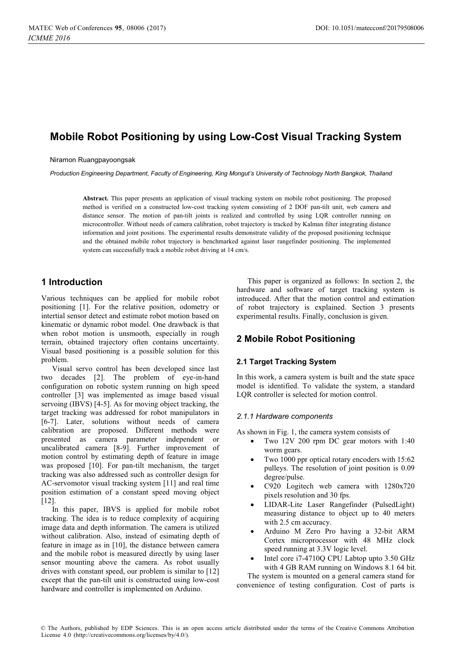# **Mobile Robot Positioning by using Low-Cost Visual Tracking System**

Niramon Ruangpayoongsak

*Production Engineering Department, Faculty of Engineering, King Mongut's University of Technology North Bangkok, Thailand* 

**Abstract.** This paper presents an application of visual tracking system on mobile robot positioning. The proposed method is verified on a constructed low-cost tracking system consisting of 2 DOF pan-tilt unit, web camera and distance sensor. The motion of pan-tilt joints is realized and controlled by using LQR controller running on microcontroller. Without needs of camera calibration, robot trajectory is tracked by Kalman filter integrating distance information and joint positions. The experimental results demonstrate validity of the proposed positioning technique and the obtained mobile robot trajectory is benchmarked against laser rangefinder positioning. The implemented system can successfully track a mobile robot driving at 14 cm/s.

## **1 Introduction**

Various techniques can be applied for mobile robot positioning [1]. For the relative position, odometry or intertial sensor detect and estimate robot motion based on kinematic or dynamic robot model. One drawback is that when robot motion is unsmooth, especially in rough terrain, obtained trajectory often contains uncertainty. Visual based positioning is a possible solution for this problem.

Visual servo control has been developed since last two decades [2]. The problem of eye-in-hand configuration on robotic system running on high speed controller [3] was implemented as image based visual servoing (IBVS) [4-5]. As for moving object tracking, the target tracking was addressed for robot manipulators in [6-7]. Later, solutions without needs of camera calibration are proposed. Different methods were presented as camera parameter independent or uncalibrated camera [8-9]. Further improvement of motion control by estimating depth of feature in image was proposed [10]. For pan-tilt mechanism, the target tracking was also addressed such as controller design for AC-servomotor visual tracking system [11] and real time position estimation of a constant speed moving object [12].

In this paper, IBVS is applied for mobile robot tracking. The idea is to reduce complexity of acquiring image data and depth information. The camera is utilized without calibration. Also, instead of esimating depth of feature in image as in [10], the distance between camera and the mobile robot is measured directly by using laser sensor mounting above the camera. As robot usually drives with constant speed, our problem is similar to [12] except that the pan-tilt unit is constructed using low-cost hardware and controller is implemented on Arduino.

This paper is organized as follows: In section 2, the hardware and software of target tracking system is introduced. After that the motion control and estimation of robot trajectory is explained. Section 3 presents experimental results. Finally, conclusion is given.

## **2 Mobile Robot Positioning**

## **2.1 Target Tracking System**

In this work, a camera system is built and the state space model is identified. To validate the system, a standard LQR controller is selected for motion control.

## *2.1.1 Hardware components*

As shown in Fig. 1, the camera system consists of

- - Two 12V 200 rpm DC gear motors with 1:40 worm gears.
- - Two 1000 ppr optical rotary encoders with 15:62 pulleys. The resolution of joint position is 0.09 degree/pulse.
- - C920 Logitech web camera with 1280x720 pixels resolution and 30 fps.
- - LIDAR-Lite Laser Rangefinder (PulsedLight) measuring distance to object up to 40 meters with 2.5 cm accuracy.
- - Arduino M Zero Pro having a 32-bit ARM Cortex microprocessor with 48 MHz clock speed running at 3.3V logic level.
- - Intel core i7-4710Q CPU Labtop upto 3.50 GHz with 4 GB RAM running on Windows 8.1 64 bit.

The system is mounted on a general camera stand for convenience of testing configuration. Cost of parts is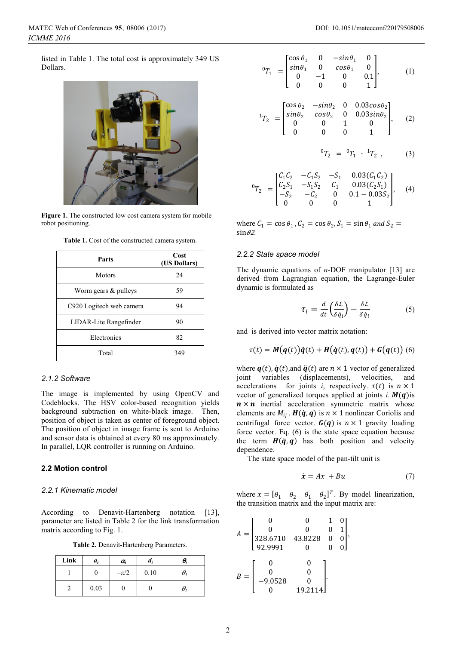listed in Table 1. The total cost is approximately 349 US Dollars.



Figure 1. The constructed low cost camera system for mobile robot positioning.

| Table 1. Cost of the constructed camera system. |
|-------------------------------------------------|
|-------------------------------------------------|

| Parts                    | Cost<br>(US Dollars) |  |
|--------------------------|----------------------|--|
| <b>Motors</b>            | 24                   |  |
| Worm gears $&$ pulleys   | 59                   |  |
| C920 Logitech web camera | 94                   |  |
| LIDAR-Lite Rangefinder   | 90                   |  |
| Electronics              | 82                   |  |
| Total                    | 349                  |  |

### *2.1.2 Software*

The image is implemented by using OpenCV and Codeblocks. The HSV color-based recognition yields background subtraction on white-black image. Then, position of object is taken as center of foreground object. The position of object in image frame is sent to Arduino and sensor data is obtained at every 80 ms approximately. In parallel, LQR controller is running on Arduino.

## **2.2 Motion control**

#### *2.2.1 Kinematic model*

According to Denavit-Hartenberg notation [13], parameter are listed in Table 2 for the link transformation matrix according to Fig. 1.

**Table 2.** Denavit-Hartenberg Parameters.

| Link | a,   | $a_i$    | u;   | θ, |
|------|------|----------|------|----|
|      | U    | $-\pi/2$ | 0.10 |    |
|      | 0.03 |          |      | θ, |

$$
{}^{0}T_{1} = \begin{bmatrix} \cos \theta_{1} & 0 & -\sin \theta_{1} & 0 \\ \sin \theta_{1} & 0 & \cos \theta_{1} & 0 \\ 0 & -1 & 0 & 0.1 \\ 0 & 0 & 0 & 1 \end{bmatrix}, \quad (1)
$$

$$
{}^{1}T_{2} = \begin{bmatrix} \cos \theta_{2} & -\sin \theta_{2} & 0 & 0.03 \cos \theta_{2} \\ \sin \theta_{2} & \cos \theta_{2} & 0 & 0.03 \sin \theta_{2} \\ 0 & 0 & 1 & 0 \\ 0 & 0 & 0 & 1 \end{bmatrix}, \quad (2)
$$

$$
{}^{0}T_{2} = {}^{0}T_{1} \cdot {}^{1}T_{2} , \qquad (3)
$$

$$
{}^{0}T_{2} = \begin{bmatrix} C_{1}C_{2} & -C_{1}S_{2} & -S_{1} & 0.03(C_{1}C_{2}) \\ C_{2}S_{1} & -S_{1}S_{2} & C_{1} & 0.03(C_{2}S_{1}) \\ -S_{2} & -C_{2} & 0 & 0.1 - 0.03S_{2} \\ 0 & 0 & 0 & 1 \end{bmatrix}, (4)
$$

where  $C_1 = \cos \theta_1$ ,  $C_2 = \cos \theta_2$ ,  $S_1 = \sin \theta_1$  and  $S_2 =$  $\sin \theta$ 2.

## *2.2.2 State space model*

The dynamic equations of *n*-DOF manipulator [13] are derived from Lagrangian equation, the Lagrange-Euler dynamic is formulated as

$$
\tau_i = \frac{d}{dt} \left( \frac{\delta \mathcal{L}}{\delta \dot{q}_i} \right) - \frac{\delta \mathcal{L}}{\delta \dot{q}_i} \tag{5}
$$

and is derived into vector matrix notation:

$$
\tau(t) = M(q(t))\ddot{q}(t) + H(\dot{q}(t), q(t)) + G(q(t))
$$
 (6)

where  $q(t)$ ,  $\dot{q}(t)$ , and  $\ddot{q}(t)$  are  $n \times 1$  vector of generalized joint variables (displacements), velocities, and accelerations for joints *i*, respectively.  $\tau(t)$  is  $n \times 1$ vector of generalized torques applied at joints *i*.  $M(q)$  is  $n \times n$  inertial acceleration symmetric matrix whose elements are  $M_{ij}$ .  $H(\dot{q}, q)$  is  $n \times 1$  nonlinear Coriolis and centrifugal force vector.  $G(q)$  is  $n \times 1$  gravity loading force vector. Eq. (6) is the state space equation because the term  $H(\dot{q}, q)$  has both position and velocity dependence.

The state space model of the pan-tilt unit is

$$
\dot{\mathbf{x}} = A\mathbf{x} + B\mathbf{u} \tag{7}
$$

where  $x = [\theta_1 \quad \theta_2 \quad \dot{\theta}_1 \quad \dot{\theta}_2]^T$ . By model linearization, the transition matrix and the input matrix are:

| $A =$ | 0         | 0       |  |
|-------|-----------|---------|--|
|       | 328.6710  | 43.8228 |  |
|       | 92.9991   |         |  |
|       |           |         |  |
| $=$   |           | 0       |  |
|       |           |         |  |
|       | $-9.0528$ |         |  |
|       |           | 19.2114 |  |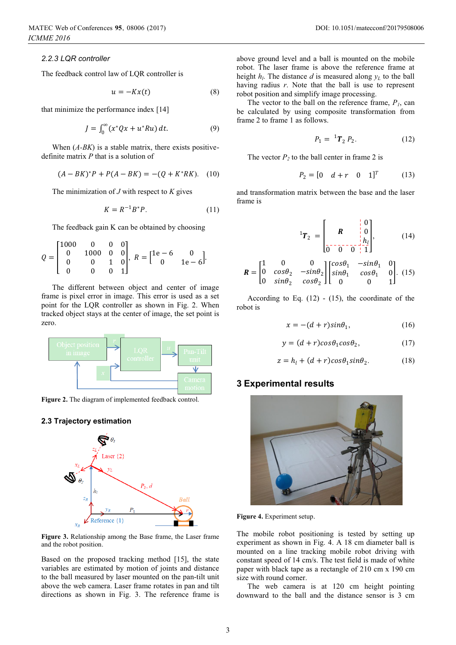*2.2.3 LQR controller* 

The feedback control law of LQR controller is

$$
u = -Kx(t) \tag{8}
$$

that minimize the performance index [14]

$$
J = \int_0^\infty (x^* Q x + u^* R u) dt.
$$
 (9)

When  $(A-BK)$  is a stable matrix, there exists positivedefinite matrix *P* that is a solution of

$$
(A - BK)^* P + P(A - BK) = -(Q + K^*RK). \quad (10)
$$

The minimization of *J* with respect to *K* gives

$$
K = R^{-1}B^*P. \tag{11}
$$

The feedback gain K can be obtained by choosing

$$
Q = \begin{bmatrix} 1000 & 0 & 0 & 0 \\ 0 & 1000 & 0 & 0 \\ 0 & 0 & 1 & 0 \\ 0 & 0 & 0 & 1 \end{bmatrix}, R = \begin{bmatrix} 1e - 6 & 0 \\ 0 & 1e - 6 \end{bmatrix}.
$$

The different between object and center of image frame is pixel error in image. This error is used as a set point for the LQR controller as shown in Fig. 2. When tracked object stays at the center of image, the set point is zero.



**Figure 2.** The diagram of implemented feedback control.

#### **2.3 Trajectory estimation**



**Figure 3.** Relationship among the Base frame, the Laser frame and the robot position.

Based on the proposed tracking method [15], the state variables are estimated by motion of joints and distance to the ball measured by laser mounted on the pan-tilt unit above the web camera. Laser frame rotates in pan and tilt directions as shown in Fig. 3. The reference frame is

above ground level and a ball is mounted on the mobile robot. The laser frame is above the reference frame at height  $h_l$ . The distance  $d$  is measured along  $y_L$  to the ball having radius *r*. Note that the ball is use to represent robot position and simplify image processing.

The vector to the ball on the reference frame,  $P<sub>1</sub>$ , can be calculated by using composite transformation from frame 2 to frame 1 as follows.

$$
P_1 = {}^{1}T_2 P_2. \tag{12}
$$

The vector  $P_2$  to the ball center in frame 2 is

$$
P_2 = [0 \quad d + r \quad 0 \quad 1]^T \tag{13}
$$

and transformation matrix between the base and the laser frame is

$$
{}^{1}T_{2} = \begin{bmatrix} R & 0 \\ 0 & h \\ 0 & 0 & 1 \end{bmatrix}, \qquad (14)
$$

$$
\boldsymbol{R} = \begin{bmatrix} 1 & 0 & 0 \\ 0 & \cos\theta_2 & -\sin\theta_2 \\ 0 & \sin\theta_2 & \cos\theta_2 \end{bmatrix} \begin{bmatrix} \cos\theta_1 & -\sin\theta_1 & 0 \\ \sin\theta_1 & \cos\theta_1 & 0 \\ 0 & 0 & 1 \end{bmatrix} . \tag{15}
$$

According to Eq.  $(12)$  -  $(15)$ , the coordinate of the robot is

$$
x = -(d+r)\sin\theta_1,\tag{16}
$$

$$
y = (d+r)cos\theta_1 cos\theta_2, \qquad (17)
$$

$$
z = h_l + (d+r)cos\theta_1 sin\theta_2.
$$
 (18)

## **3 Experimental results**



**Figure 4.** Experiment setup.

The mobile robot positioning is tested by setting up experiment as shown in Fig. 4. A 18 cm diameter ball is mounted on a line tracking mobile robot driving with constant speed of 14 cm/s. The test field is made of white paper with black tape as a rectangle of 210 cm x 190 cm size with round corner.

The web camera is at 120 cm height pointing downward to the ball and the distance sensor is 3 cm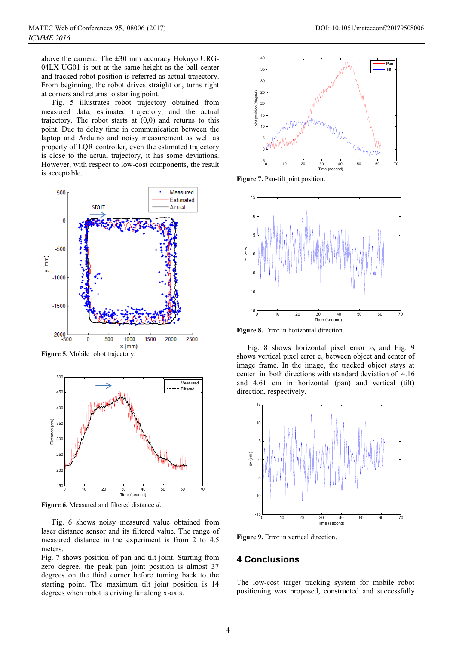above the camera. The  $\pm 30$  mm accuracy Hokuyo URG-04LX-UG01 is put at the same height as the ball center and tracked robot position is referred as actual trajectory. From beginning, the robot drives straight on, turns right at corners and returns to starting point.

Fig. 5 illustrates robot trajectory obtained from measured data, estimated trajectory, and the actual trajectory. The robot starts at  $(0,0)$  and returns to this point. Due to delay time in communication between the laptop and Arduino and noisy measurement as well as property of LQR controller, even the estimated trajectory is close to the actual trajectory, it has some deviations. However, with respect to low-cost components, the result is acceptable.



**Figure 5.** Mobile robot trajectory.



**Figure 6.** Measured and filtered distance *d*.

Fig. 6 shows noisy measured value obtained from laser distance sensor and its filtered value. The range of measured distance in the experiment is from 2 to 4.5 meters.

Fig. 7 shows position of pan and tilt joint. Starting from zero degree, the peak pan joint position is almost 37 degrees on the third corner before turning back to the starting point. The maximum tilt joint position is 14 degrees when robot is driving far along x-axis.



**Figure 7.** Pan-tilt joint position.



**Figure 8.** Error in horizontal direction.

Fig. 8 shows horizontal pixel error *eh* and Fig. 9 shows vertical pixel error  $e_v$  between object and center of image frame. In the image, the tracked object stays at center in both directions with standard deviation of 4.16 and 4.61 cm in horizontal (pan) and vertical (tilt) direction, respectively.



**Figure 9.** Error in vertical direction.

## **4 Conclusions**

The low-cost target tracking system for mobile robot positioning was proposed, constructed and successfully